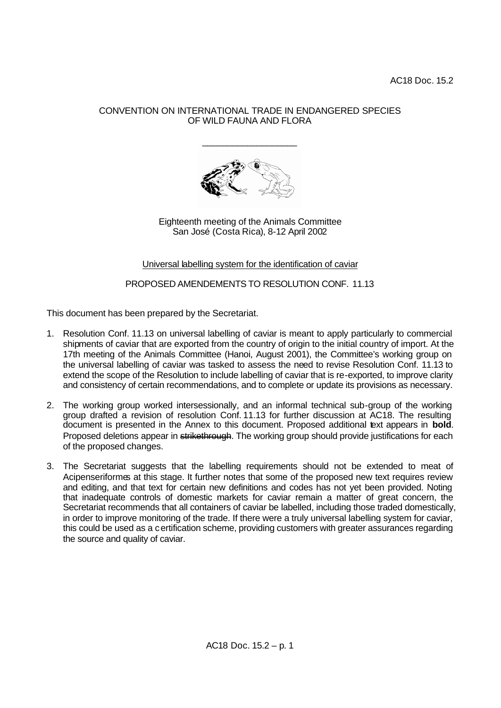# CONVENTION ON INTERNATIONAL TRADE IN ENDANGERED SPECIES OF WILD FAUNA AND FLORA

\_\_\_\_\_\_\_\_\_\_\_\_\_\_\_\_\_\_\_



Eighteenth meeting of the Animals Committee San José (Costa Rica), 8-12 April 2002

Universal labelling system for the identification of caviar

PROPOSED AMENDEMENTS TO RESOLUTION CONF. 11.13

This document has been prepared by the Secretariat.

- 1. Resolution Conf. 11.13 on universal labelling of caviar is meant to apply particularly to commercial shipments of caviar that are exported from the country of origin to the initial country of import. At the 17th meeting of the Animals Committee (Hanoi, August 2001), the Committee's working group on the universal labelling of caviar was tasked to assess the need to revise Resolution Conf. 11.13 to extend the scope of the Resolution to include labelling of caviar that is re-exported, to improve clarity and consistency of certain recommendations, and to complete or update its provisions as necessary.
- 2. The working group worked intersessionally, and an informal technical sub-group of the working group drafted a revision of resolution Conf. 11.13 for further discussion at AC18. The resulting document is presented in the Annex to this document. Proposed additional text appears in **bold**. Proposed deletions appear in strikethrough. The working group should provide justifications for each of the proposed changes.
- 3. The Secretariat suggests that the labelling requirements should not be extended to meat of Acipenseriformes at this stage. It further notes that some of the proposed new text requires review and editing, and that text for certain new definitions and codes has not yet been provided. Noting that inadequate controls of domestic markets for caviar remain a matter of great concern, the Secretariat recommends that all containers of caviar be labelled, including those traded domestically, in order to improve monitoring of the trade. If there were a truly universal labelling system for caviar, this could be used as a certification scheme, providing customers with greater assurances regarding the source and quality of caviar.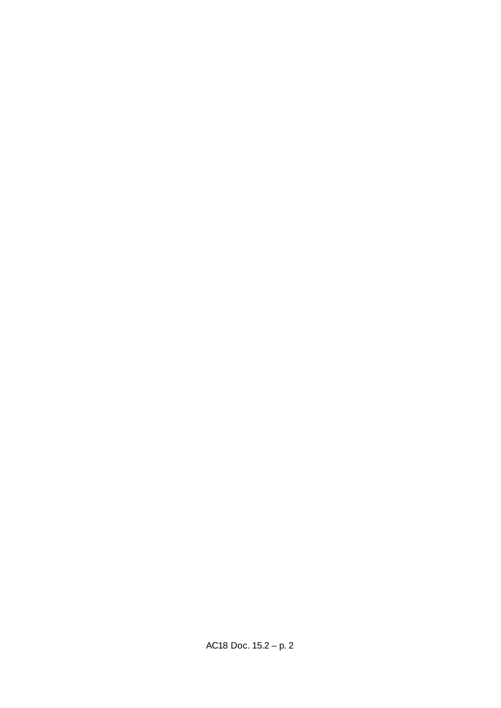AC18 Doc. 15.2 - p. 2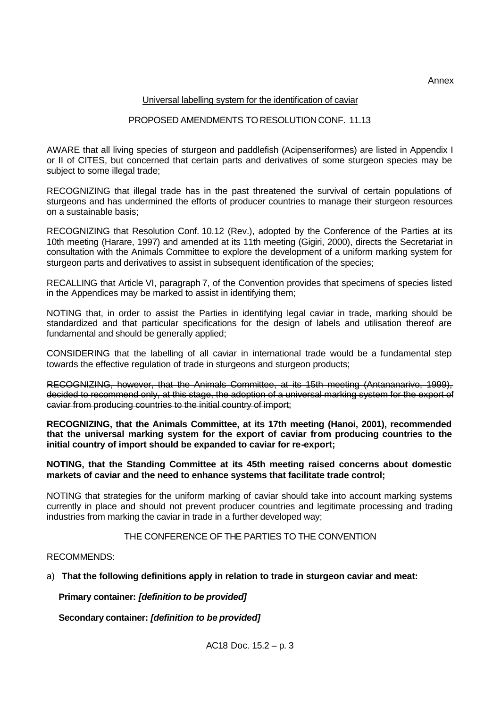Annex

## Universal labelling system for the identification of caviar

## PROPOSED AMENDMENTS TO RESOLUTION CONF. 11.13

AWARE that all living species of sturgeon and paddlefish (Acipenseriformes) are listed in Appendix I or II of CITES, but concerned that certain parts and derivatives of some sturgeon species may be subject to some illegal trade;

RECOGNIZING that illegal trade has in the past threatened the survival of certain populations of sturgeons and has undermined the efforts of producer countries to manage their sturgeon resources on a sustainable basis;

RECOGNIZING that Resolution Conf. 10.12 (Rev.), adopted by the Conference of the Parties at its 10th meeting (Harare, 1997) and amended at its 11th meeting (Gigiri, 2000), directs the Secretariat in consultation with the Animals Committee to explore the development of a uniform marking system for sturgeon parts and derivatives to assist in subsequent identification of the species;

RECALLING that Article VI, paragraph 7, of the Convention provides that specimens of species listed in the Appendices may be marked to assist in identifying them;

NOTING that, in order to assist the Parties in identifying legal caviar in trade, marking should be standardized and that particular specifications for the design of labels and utilisation thereof are fundamental and should be generally applied;

CONSIDERING that the labelling of all caviar in international trade would be a fundamental step towards the effective regulation of trade in sturgeons and sturgeon products;

RECOGNIZING, however, that the Animals Committee, at its 15th meeting (Antananarivo, 1999), decided to recommend only, at this stage, the adoption of a universal marking system for the export of caviar from producing countries to the initial country of import;

**RECOGNIZING, that the Animals Committee, at its 17th meeting (Hanoi, 2001), recommended that the universal marking system for the export of caviar from producing countries to the initial country of import should be expanded to caviar for re-export;**

### **NOTING, that the Standing Committee at its 45th meeting raised concerns about domestic markets of caviar and the need to enhance systems that facilitate trade control;**

NOTING that strategies for the uniform marking of caviar should take into account marking systems currently in place and should not prevent producer countries and legitimate processing and trading industries from marking the caviar in trade in a further developed way;

THE CONFERENCE OF THE PARTIES TO THE CONVENTION

#### RECOMMENDS:

a) **That the following definitions apply in relation to trade in sturgeon caviar and meat:**

**Primary container:** *[definition to be provided]*

**Secondary container:** *[definition to be provided]*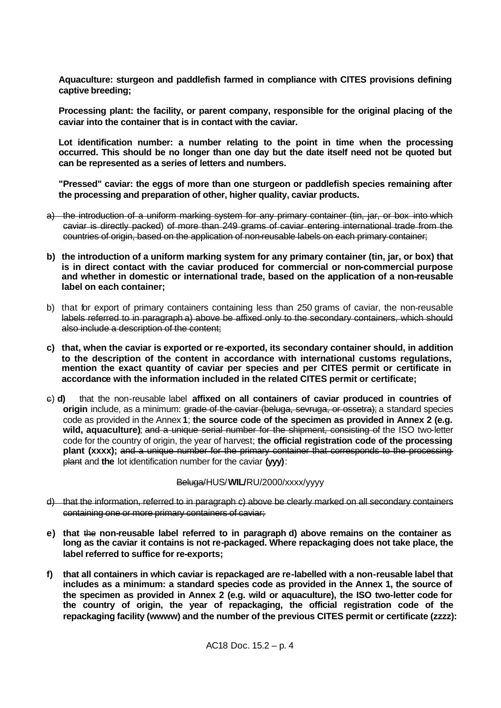**Aquaculture: sturgeon and paddlefish farmed in compliance with CITES provisions defining captive breeding;**

**Processing plant: the facility, or parent company, responsible for the original placing of the caviar into the container that is in contact with the caviar.**

**Lot identification number: a number relating to the point in time when the processing occurred. This should be no longer than one day but the date itself need not be quoted but can be represented as a series of letters and numbers.**

**"Pressed" caviar: the eggs of more than one sturgeon or paddlefish species remaining after the processing and preparation of other, higher quality, caviar products.**

- a) the introduction of a uniform marking system for any primary container (tin, jar, or box into which caviar is directly packed) of more than 249 grams of caviar entering international trade from the countries of origin, based on the application of non-reusable labels on each primary container;
- **b) the introduction of a uniform marking system for any primary container (tin, jar, or box) that is in direct contact with the caviar produced for commercial or non-commercial purpose and whether in domestic or international trade, based on the application of a non-reusable label on each container;**
- b) that for export of primary containers containing less than 250 grams of caviar, the non-reusable labels referred to in paragraph a) above be affixed only to the secondary containers, which should also include a description of the content;
- **c) that, when the caviar is exported or re-exported, its secondary container should, in addition to the description of the content in accordance with international customs regulations, mention the exact quantity of caviar per species and per CITES permit or certificate in accordance with the information included in the related CITES permit or certificate;**
- c) **d)** that the non-reusable label **affixed on all containers of caviar produced in countries of origin** include, as a minimum: grade of the caviar (beluga, sevruga, or ossetra); a standard species code as provided in the Annex **1**; **the source code of the specimen as provided in Annex 2 (e.g.**  wild, aquaculture); and a unique serial number for the shipment, consisting of the ISO two-letter code for the country of origin, the year of harvest; **the official registration code of the processing plant (xxxx);** and a unique number for the primary container that corresponds to the processing plant and **the** lot identification number for the caviar **(yyy)**:

#### Beluga/HUS/**WIL/**RU/2000/xxxx/yyyy

- d) that the information, referred to in paragraph c) above be clearly marked on all secondary containers containing one or more primary containers of caviar;
- **e) that** the **non-reusable label referred to in paragraph d) above remains on the container as long as the caviar it contains is not re-packaged. Where repackaging does not take place, the label referred to suffice for re-exports;**
- **f) that all containers in which caviar is repackaged are re-labelled with a non-reusable label that includes as a minimum: a standard species code as provided in the Annex 1, the source of the specimen as provided in Annex 2 (e.g. wild or aquaculture), the ISO two-letter code for the country of origin, the year of repackaging, the official registration code of the repackaging facility (wwww) and the number of the previous CITES permit or certificate (zzzz):**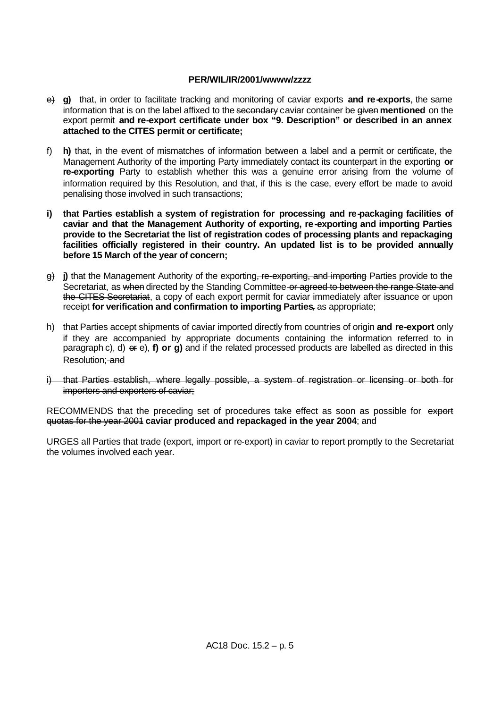## **PER/WIL/IR/2001/wwww/zzzz**

- e) **g)** that, in order to facilitate tracking and monitoring of caviar exports **and re-exports**, the same information that is on the label affixed to the secondary caviar container be given **mentioned** on the export permit **and re-export certificate under box "9. Description" or described in an annex attached to the CITES permit or certificate;**
- f) **h)** that, in the event of mismatches of information between a label and a permit or certificate, the Management Authority of the importing Party immediately contact its counterpart in the exporting **or re-exporting** Party to establish whether this was a genuine error arising from the volume of information required by this Resolution, and that, if this is the case, every effort be made to avoid penalising those involved in such transactions;
- **i) that Parties establish a system of registration for processing and re-packaging facilities of caviar and that the Management Authority of exporting, re-exporting and importing Parties provide to the Secretariat the list of registration codes of processing plants and repackaging facilities officially registered in their country. An updated list is to be provided annually before 15 March of the year of concern;**
- g) j) that the Management Authority of the exporting, re-exporting, and importing Parties provide to the Secretariat, as when directed by the Standing Committee or agreed to between the range State and the CITES Secretariat, a copy of each export permit for caviar immediately after issuance or upon receipt **for verification and confirmation to importing Parties**, as appropriate;
- h) that Parties accept shipments of caviar imported directly from countries of origin **and re-export** only if they are accompanied by appropriate documents containing the information referred to in paragraph c), d) or e), **f) or g)** and if the related processed products are labelled as directed in this Resolution; and
- i) that Parties establish, where legally possible, a system of registration or licensing or both for importers and exporters of caviar;

RECOMMENDS that the preceding set of procedures take effect as soon as possible for export quotas for the year 2001 **caviar produced and repackaged in the year 2004**; and

URGES all Parties that trade (export, import or re-export) in caviar to report promptly to the Secretariat the volumes involved each year.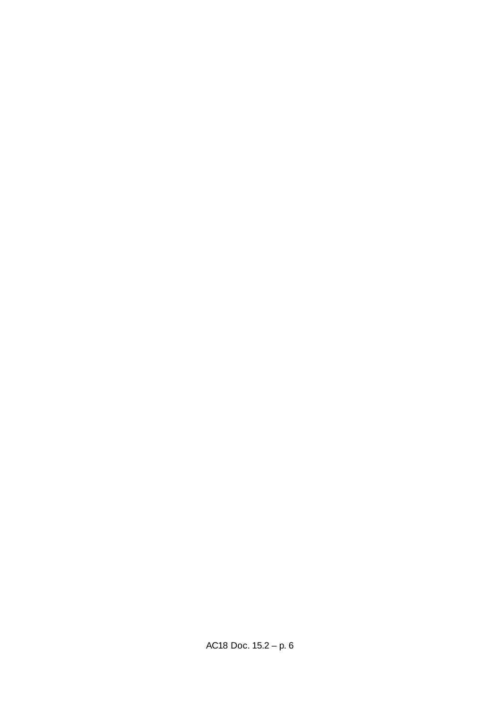AC18 Doc. 15.2 - p. 6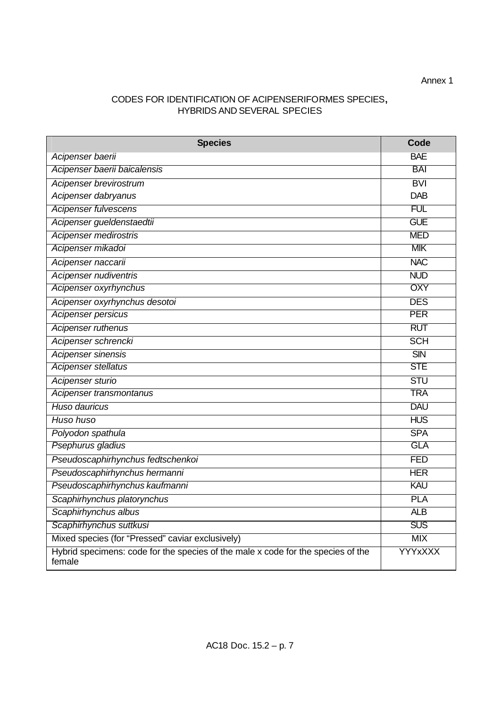# CODES FOR IDENTIFICATION OF ACIPENSERIFORMES SPECIES**,**  HYBRIDS AND SEVERAL SPECIES

| <b>Species</b>                                                                             | Code       |
|--------------------------------------------------------------------------------------------|------------|
| Acipenser baerii                                                                           | <b>BAE</b> |
| Acipenser baerii baicalensis                                                               | BAI        |
| Acipenser brevirostrum                                                                     | <b>BVI</b> |
| Acipenser dabryanus                                                                        | <b>DAB</b> |
| <b>Acipenser fulvescens</b>                                                                | <b>FUL</b> |
| Acipenser gueldenstaedtii                                                                  | <b>GUE</b> |
| Acipenser medirostris                                                                      | <b>MED</b> |
| Acipenser mikadoi                                                                          | <b>MIK</b> |
| Acipenser naccarii                                                                         | <b>NAC</b> |
| Acipenser nudiventris                                                                      | <b>NUD</b> |
| Acipenser oxyrhynchus                                                                      | <b>OXY</b> |
| Acipenser oxyrhynchus desotoi                                                              | <b>DES</b> |
| Acipenser persicus                                                                         | <b>PER</b> |
| Acipenser ruthenus                                                                         | <b>RUT</b> |
| Acipenser schrencki                                                                        | <b>SCH</b> |
| <b>Acipenser sinensis</b>                                                                  | SIN        |
| <b>Acipenser stellatus</b>                                                                 | <b>STE</b> |
| Acipenser sturio                                                                           | <b>STU</b> |
| Acipenser transmontanus                                                                    | <b>TRA</b> |
| Huso dauricus                                                                              | <b>DAU</b> |
| Huso huso                                                                                  | <b>HUS</b> |
| Polyodon spathula                                                                          | <b>SPA</b> |
| Psephurus gladius                                                                          | <b>GLA</b> |
| Pseudoscaphirhynchus fedtschenkoi                                                          | <b>FED</b> |
| Pseudoscaphirhynchus hermanni                                                              | <b>HER</b> |
| Pseudoscaphirhynchus kaufmanni                                                             | KAU        |
| Scaphirhynchus platorynchus                                                                | <b>PLA</b> |
| Scaphirhynchus albus                                                                       | <b>ALB</b> |
| Scaphirhynchus suttkusi                                                                    | <b>SUS</b> |
| Mixed species (for "Pressed" caviar exclusively)                                           | <b>MIX</b> |
| Hybrid specimens: code for the species of the male x code for the species of the<br>female | YYYxXXX    |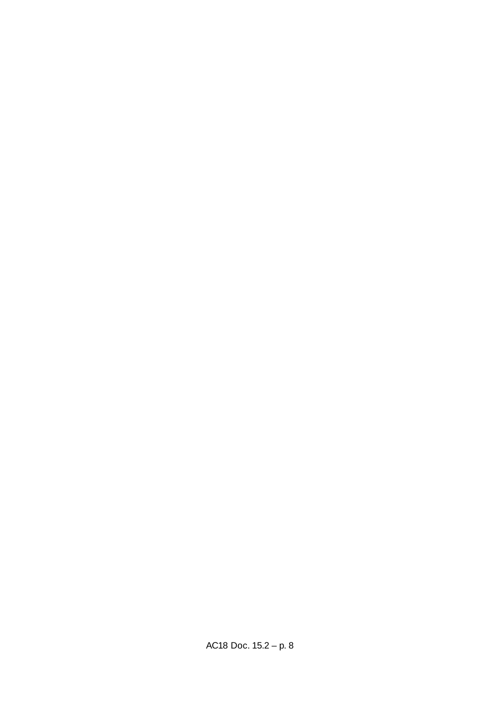AC18 Doc. 15.2 - p. 8